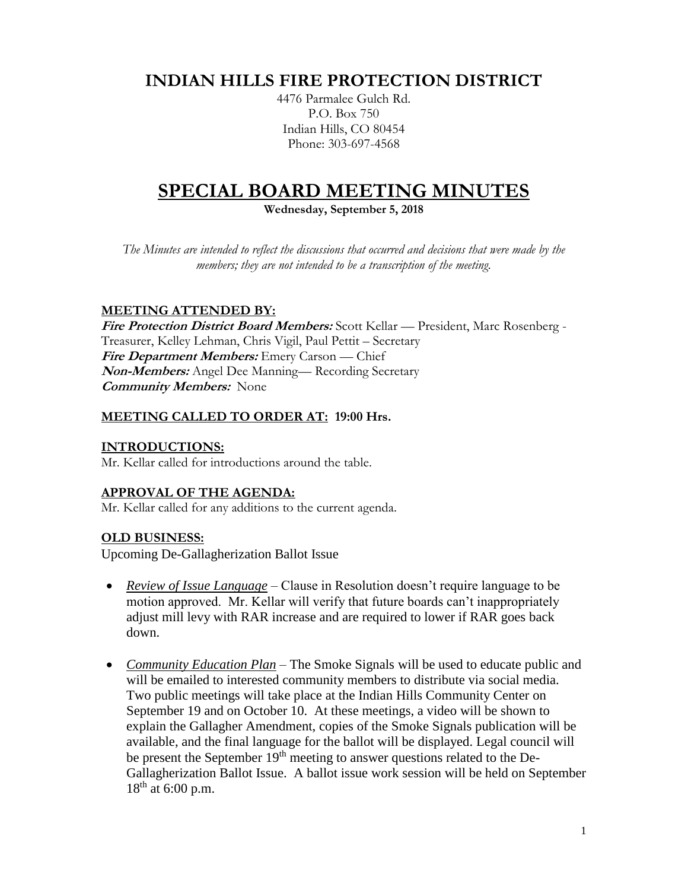# **INDIAN HILLS FIRE PROTECTION DISTRICT**

4476 Parmalee Gulch Rd. P.O. Box 750 Indian Hills, CO 80454 Phone: 303-697-4568

## **SPECIAL BOARD MEETING MINUTES**

**Wednesday, September 5, 2018**

*The Minutes are intended to reflect the discussions that occurred and decisions that were made by the members; they are not intended to be a transcription of the meeting.*

## **MEETING ATTENDED BY:**

**Fire Protection District Board Members:** Scott Kellar — President, Marc Rosenberg - Treasurer, Kelley Lehman, Chris Vigil, Paul Pettit – Secretary **Fire Department Members:** Emery Carson — Chief **Non-Members:** Angel Dee Manning— Recording Secretary **Community Members:** None

## **MEETING CALLED TO ORDER AT: 19:00 Hrs.**

#### **INTRODUCTIONS:**

Mr. Kellar called for introductions around the table.

## **APPROVAL OF THE AGENDA:**

Mr. Kellar called for any additions to the current agenda.

## **OLD BUSINESS:**

Upcoming De-Gallagherization Ballot Issue

- *Review of Issue Language* Clause in Resolution doesn't require language to be motion approved. Mr. Kellar will verify that future boards can't inappropriately adjust mill levy with RAR increase and are required to lower if RAR goes back down.
- *Community Education Plan* The Smoke Signals will be used to educate public and will be emailed to interested community members to distribute via social media. Two public meetings will take place at the Indian Hills Community Center on September 19 and on October 10. At these meetings, a video will be shown to explain the Gallagher Amendment, copies of the Smoke Signals publication will be available, and the final language for the ballot will be displayed. Legal council will be present the September 19<sup>th</sup> meeting to answer questions related to the De-Gallagherization Ballot Issue. A ballot issue work session will be held on September 18<sup>th</sup> at 6:00 p.m.